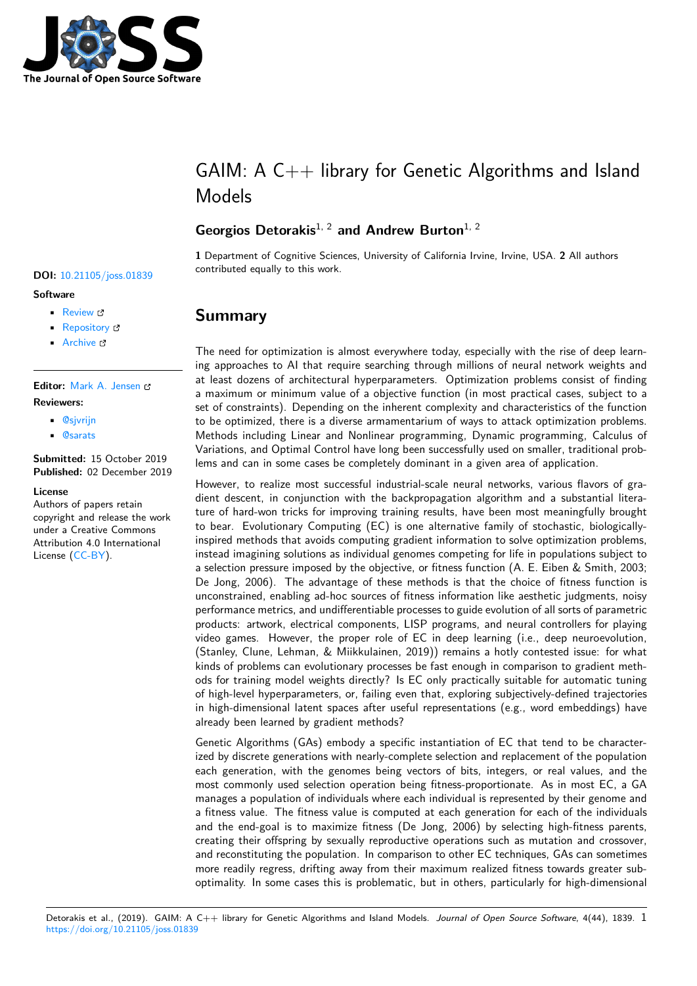

# $GAM: A C++$  library for Genetic Algorithms and Island Models

## **Georgios Detorakis**1, 2 **and Andrew Burton**1, 2

**1** Department of Cognitive Sciences, University of California Irvine, Irvine, USA. **2** All authors contributed equally to this work. **DOI:** 10.21105/joss.01839

# **Summary**

The need for optimization is almost everywhere today, especially with the rise of deep learning approaches to AI that require searching through millions of neural network weights and at least dozens of architectural hyperparameters. Optimization problems consist of finding a maximum or minimum value of a objective function (in most practical cases, subject to a set of constraints). Depending on the inherent complexity and characteristics of the function to be optimized, there is a diverse armamentarium of ways to attack optimization problems. Methods including Linear and Nonlinear programming, Dynamic programming, Calculus of Variations, and Optimal Control have long been successfully used on smaller, traditional problems and can in some cases be completely dominant in a given area of application.

However, to realize most successful industrial-scale neural networks, various flavors of gradient descent, in conjunction with the backpropagation algorithm and a substantial literature of hard-won tricks for improving training results, have been most meaningfully brought to bear. Evolutionary Computing (EC) is one alternative family of stochastic, biologicallyinspired methods that avoids computing gradient information to solve optimization problems, instead imagining solutions as individual genomes competing for life in populations subject to a selection pressure imposed by the objective, or fitness function (A. E. Eiben & Smith, 2003; De Jong, 2006). The advantage of these methods is that the choice of fitness function is unconstrained, enabling ad-hoc sources of fitness information like aesthetic judgments, noisy performance metrics, and undifferentiable processes to guide evolution of all sorts of parametric products: artwork, electrical components, LISP programs, and neural controllers for playing video games. However, the proper role of EC in deep learning (i.e., deep neuroevolution, (Stanley, Clune, Lehman, & Miikkulainen, 2019)) remains a hotly contested issue: for what kinds of problems can evolutionary processes be fast enough in comparison to gradient methods for training model weights directly? Is EC only practically suitable for automatic tuning of high-level hyperparameters, or, failing even that, exploring subjectively-defined trajectories in high-dimensional latent spaces after useful representations (e.g., word embeddings) have already been learned by gradient methods?

Genetic Algorithms (GAs) embody a specific instantiation of EC that tend to be characterized by discrete generations with nearly-complete selection and replacement of the population each generation, with the genomes being vectors of bits, integers, or real values, and the most commonly used selection operation being fitness-proportionate. As in most EC, a GA manages a population of individuals where each individual is represented by their genome and a fitness value. The fitness value is computed at each generation for each of the individuals and the end-goal is to maximize fitness (De Jong, 2006) by selecting high-fitness parents, creating their offspring by sexually reproductive operations such as mutation and crossover, and reconstituting the population. In comparison to other EC techniques, GAs can sometimes more readily regress, drifting away from their maximum realized fitness towards greater suboptimality. In some cases this is problematic, but in others, particularly for high-dimensional

#### **Software**

- Review L'
- [Repository](https://doi.org/10.21105/joss.01839)  $C$
- Archive

### **Editor:** [Mark A.](https://gitlab.com/gdetor/genetic_alg) Jensen

#### **Revie[wers:](https://doi.org/10.5281/zenodo.3558829)**

- @sjvrijn
- @[sarats](https://orcid.org/0000-0001-5215-101X)

**Submitted:** 15 October 2019 **Publi[shed:](https://github.com/sjvrijn)** 02 December 2019

#### **Licen[se](https://github.com/sarats)**

Authors of papers retain copyright and release the work under a Creative Commons Attribution 4.0 International License (CC-BY).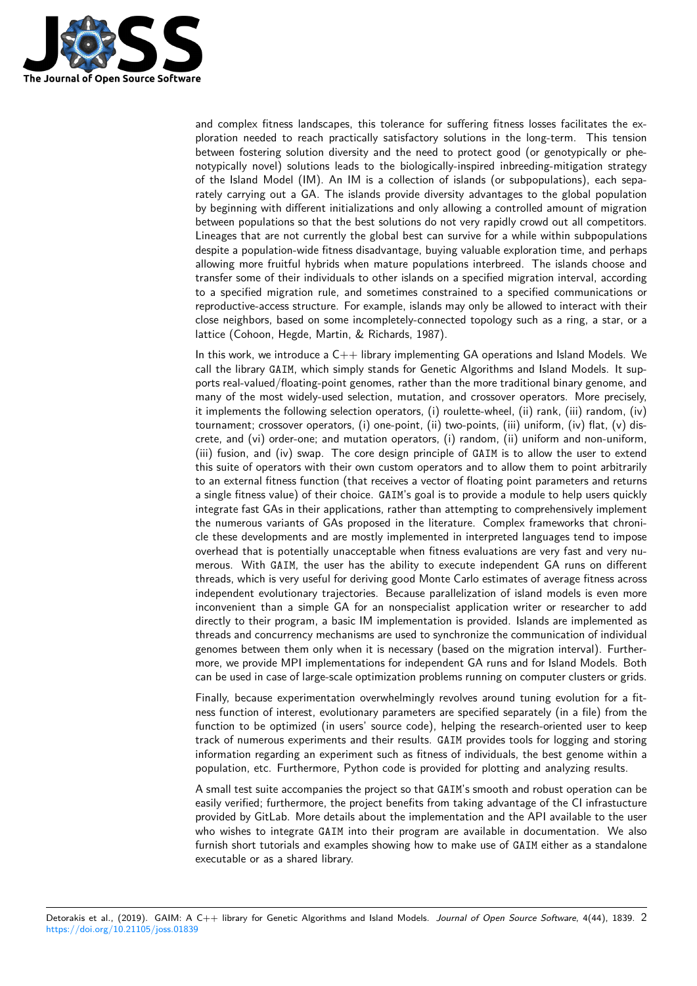

and complex fitness landscapes, this tolerance for suffering fitness losses facilitates the exploration needed to reach practically satisfactory solutions in the long-term. This tension between fostering solution diversity and the need to protect good (or genotypically or phenotypically novel) solutions leads to the biologically-inspired inbreeding-mitigation strategy of the Island Model (IM). An IM is a collection of islands (or subpopulations), each separately carrying out a GA. The islands provide diversity advantages to the global population by beginning with different initializations and only allowing a controlled amount of migration between populations so that the best solutions do not very rapidly crowd out all competitors. Lineages that are not currently the global best can survive for a while within subpopulations despite a population-wide fitness disadvantage, buying valuable exploration time, and perhaps allowing more fruitful hybrids when mature populations interbreed. The islands choose and transfer some of their individuals to other islands on a specified migration interval, according to a specified migration rule, and sometimes constrained to a specified communications or reproductive-access structure. For example, islands may only be allowed to interact with their close neighbors, based on some incompletely-connected topology such as a ring, a star, or a lattice (Cohoon, Hegde, Martin, & Richards, 1987).

In this work, we introduce a  $C++$  library implementing GA operations and Island Models. We call the library GAIM, which simply stands for Genetic Algorithms and Island Models. It supports real-valued/floating-point genomes, rather than the more traditional binary genome, and many of the most widely-used selection, mutation, and crossover operators. More precisely, it implements the following selection operators, (i) roulette-wheel, (ii) rank, (iii) random, (iv) tournament; crossover operators, (i) one-point, (ii) two-points, (iii) uniform, (iv) flat, (v) discrete, and (vi) order-one; and mutation operators, (i) random, (ii) uniform and non-uniform, (iii) fusion, and (iv) swap. The core design principle of GAIM is to allow the user to extend this suite of operators with their own custom operators and to allow them to point arbitrarily to an external fitness function (that receives a vector of floating point parameters and returns a single fitness value) of their choice. GAIM's goal is to provide a module to help users quickly integrate fast GAs in their applications, rather than attempting to comprehensively implement the numerous variants of GAs proposed in the literature. Complex frameworks that chronicle these developments and are mostly implemented in interpreted languages tend to impose overhead that is potentially unacceptable when fitness evaluations are very fast and very numerous. With GAIM, the user has the ability to execute independent GA runs on different threads, which is very useful for deriving good Monte Carlo estimates of average fitness across independent evolutionary trajectories. Because parallelization of island models is even more inconvenient than a simple GA for an nonspecialist application writer or researcher to add directly to their program, a basic IM implementation is provided. Islands are implemented as threads and concurrency mechanisms are used to synchronize the communication of individual genomes between them only when it is necessary (based on the migration interval). Furthermore, we provide MPI implementations for independent GA runs and for Island Models. Both can be used in case of large-scale optimization problems running on computer clusters or grids.

Finally, because experimentation overwhelmingly revolves around tuning evolution for a fitness function of interest, evolutionary parameters are specified separately (in a file) from the function to be optimized (in users' source code), helping the research-oriented user to keep track of numerous experiments and their results. GAIM provides tools for logging and storing information regarding an experiment such as fitness of individuals, the best genome within a population, etc. Furthermore, Python code is provided for plotting and analyzing results.

A small test suite accompanies the project so that GAIM's smooth and robust operation can be easily verified; furthermore, the project benefits from taking advantage of the CI infrastucture provided by GitLab. More details about the implementation and the API available to the user who wishes to integrate GAIM into their program are available in documentation. We also furnish short tutorials and examples showing how to make use of GAIM either as a standalone executable or as a shared library.

Detorakis et al., (2019). GAIM: A C++ library for Genetic Algorithms and Island Models. *Journal of Open Source Software*, 4(44), 1839. 2https://doi.org/10.21105/joss.01839